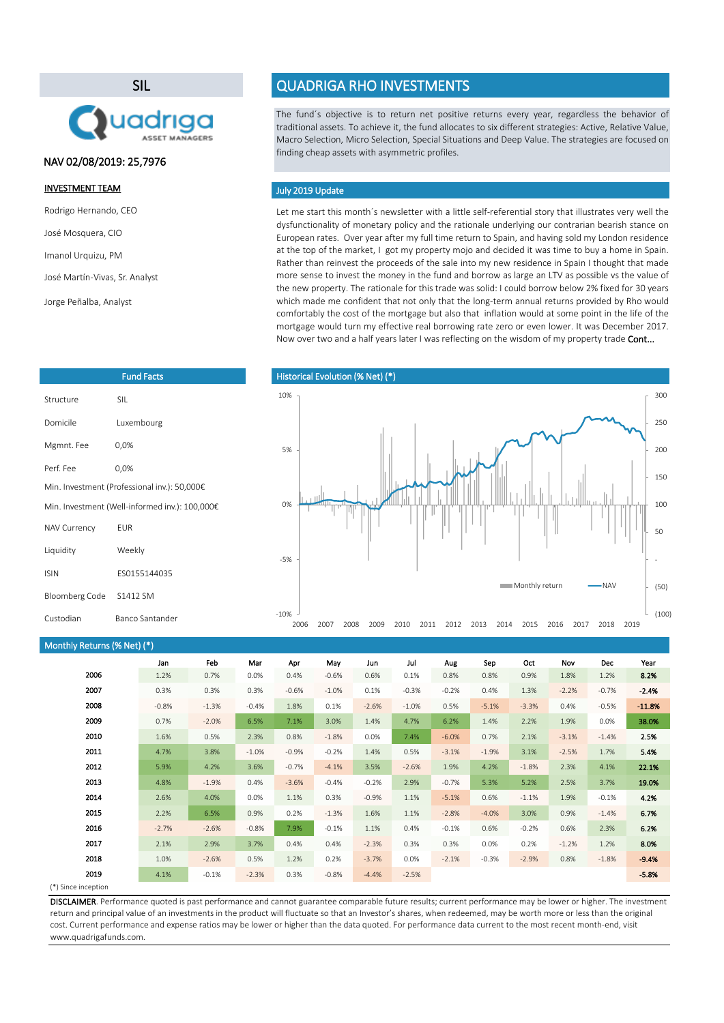



Fund Facts

## NAV 02/08/2019: 25,7976

### INVESTMENT TEAM

Rodrigo Hernando, CEO

José Mosquera, CIO

Imanol Urquizu, PM

José Martín-Vivas, Sr. Analyst

Jorge Peñalba, Analyst

Structure SIL

Mgmnt. Fee 0,0% Perf. Fee 0,0%

NAV Currency EUR

Liquidity Weekly

ISIN ES0155144035

Custodian Banco Santander

Domicile Luxembourg

Min. Investment (Professional inv.): 50,000€ Min. Investment (Well-informed inv.): 100,000€

## QUADRIGA RHO INVESTMENTS

The fund´s objective is to return net positive returns every year, regardless the behavior of traditional assets. To achieve it, the fund allocates to six different strategies: Active, Relative Value, Macro Selection, Micro Selection, Special Situations and Deep Value. The strategies are focused on finding cheap assets with asymmetric profiles.

#### July 2019 Update

Let me start this month's newsletter with a little self-referential story that illustrates very well the dysfunctionality of monetary policy and the rationale underlying our contrarian bearish stance on European rates. Over year after my full time return to Spain, and having sold my London residence at the top of the market, I got my property mojo and decided it was time to buy a home in Spain. Rather than reinvest the proceeds of the sale into my new residence in Spain I thought that made more sense to invest the money in the fund and borrow as large an LTV as possible vs the value of the new property. The rationale for this trade was solid: I could borrow below 2% fixed for 30 years which made me confident that not only that the long-term annual returns provided by Rho would comfortably the cost of the mortgage but also that inflation would at some point in the life of the mortgage would turn my effective real borrowing rate zero or even lower. It was December 2017. Now over two and a half years later I was reflecting on the wisdom of my property trade Cont...



#### Monthly Returns (% Net) (\*)

Bloomberg Code S1412 SM

|      | Jan     | Feb     | Mar     | Apr     | May     | Jun     | Jul     | Aug     | Sep     | Oct     | Nov     | <b>Dec</b> | Year     |
|------|---------|---------|---------|---------|---------|---------|---------|---------|---------|---------|---------|------------|----------|
| 2006 | 1.2%    | 0.7%    | 0.0%    | 0.4%    | $-0.6%$ | 0.6%    | 0.1%    | 0.8%    | 0.8%    | 0.9%    | 1.8%    | 1.2%       | 8.2%     |
| 2007 | 0.3%    | 0.3%    | 0.3%    | $-0.6%$ | $-1.0%$ | 0.1%    | $-0.3%$ | $-0.2%$ | 0.4%    | 1.3%    | $-2.2%$ | $-0.7%$    | $-2.4%$  |
| 2008 | $-0.8%$ | $-1.3%$ | $-0.4%$ | 1.8%    | 0.1%    | $-2.6%$ | $-1.0%$ | 0.5%    | $-5.1%$ | $-3.3%$ | 0.4%    | $-0.5%$    | $-11.8%$ |
| 2009 | 0.7%    | $-2.0%$ | 6.5%    | 7.1%    | 3.0%    | 1.4%    | 4.7%    | 6.2%    | 1.4%    | 2.2%    | 1.9%    | 0.0%       | 38.0%    |
| 2010 | 1.6%    | 0.5%    | 2.3%    | 0.8%    | $-1.8%$ | 0.0%    | 7.4%    | $-6.0%$ | 0.7%    | 2.1%    | $-3.1%$ | $-1.4%$    | 2.5%     |
| 2011 | 4.7%    | 3.8%    | $-1.0%$ | $-0.9%$ | $-0.2%$ | 1.4%    | 0.5%    | $-3.1%$ | $-1.9%$ | 3.1%    | $-2.5%$ | 1.7%       | 5.4%     |
| 2012 | 5.9%    | 4.2%    | 3.6%    | $-0.7%$ | $-4.1%$ | 3.5%    | $-2.6%$ | 1.9%    | 4.2%    | $-1.8%$ | 2.3%    | 4.1%       | 22.1%    |
| 2013 | 4.8%    | $-1.9%$ | 0.4%    | $-3.6%$ | $-0.4%$ | $-0.2%$ | 2.9%    | $-0.7%$ | 5.3%    | 5.2%    | 2.5%    | 3.7%       | 19.0%    |
| 2014 | 2.6%    | 4.0%    | 0.0%    | 1.1%    | 0.3%    | $-0.9%$ | 1.1%    | $-5.1%$ | 0.6%    | $-1.1%$ | 1.9%    | $-0.1%$    | 4.2%     |
| 2015 | 2.2%    | 6.5%    | 0.9%    | 0.2%    | $-1.3%$ | 1.6%    | 1.1%    | $-2.8%$ | $-4.0%$ | 3.0%    | 0.9%    | $-1.4%$    | 6.7%     |
| 2016 | $-2.7%$ | $-2.6%$ | $-0.8%$ | 7.9%    | $-0.1%$ | 1.1%    | 0.4%    | $-0.1%$ | 0.6%    | $-0.2%$ | 0.6%    | 2.3%       | 6.2%     |
| 2017 | 2.1%    | 2.9%    | 3.7%    | 0.4%    | 0.4%    | $-2.3%$ | 0.3%    | 0.3%    | 0.0%    | 0.2%    | $-1.2%$ | 1.2%       | 8.0%     |
| 2018 | 1.0%    | $-2.6%$ | 0.5%    | 1.2%    | 0.2%    | $-3.7%$ | 0.0%    | $-2.1%$ | $-0.3%$ | $-2.9%$ | 0.8%    | $-1.8%$    | $-9.4%$  |
| 2019 | 4.1%    | $-0.1%$ | $-2.3%$ | 0.3%    | $-0.8%$ | $-4.4%$ | $-2.5%$ |         |         |         |         |            | $-5.8%$  |
|      |         |         |         |         |         |         |         |         |         |         |         |            |          |

(\*) Since inception

DISCLAIMER. Performance quoted is past performance and cannot guarantee comparable future results; current performance may be lower or higher. The investment return and principal value of an investments in the product will fluctuate so that an Investor's shares, when redeemed, may be worth more or less than the original cost. Current performance and expense ratios may be lower or higher than the data quoted. For performance data current to the most recent month-end, visit www.quadrigafunds.com.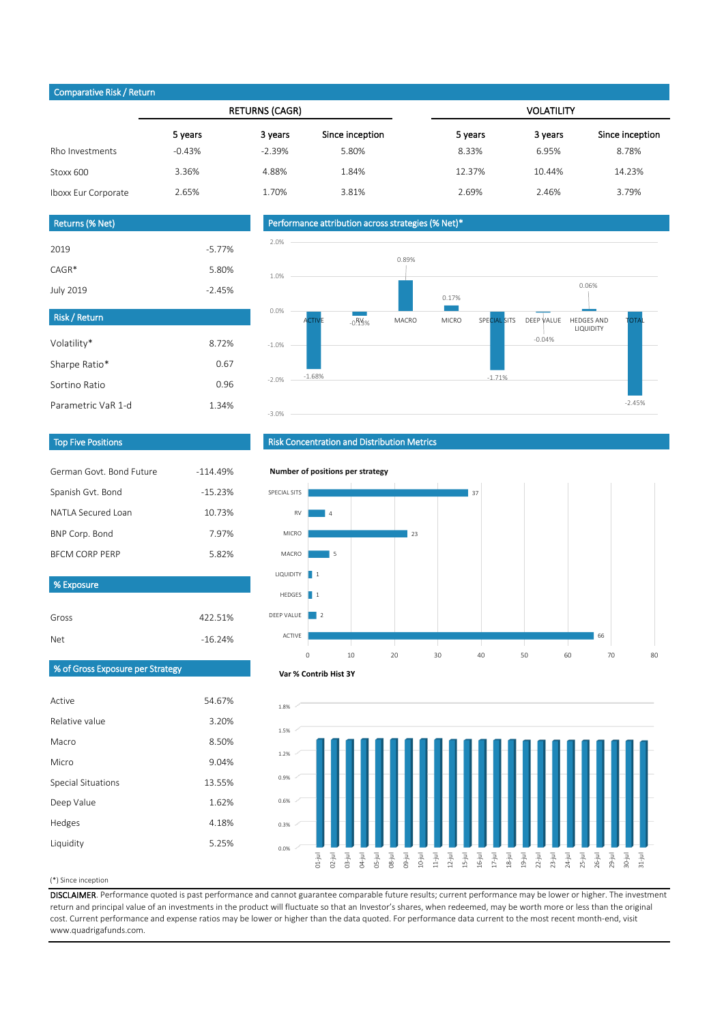## Comparative Risk / Return

|                     |          | <b>RETURNS (CAGR)</b> |                 | <b>VOLATILITY</b> |         |                 |  |  |
|---------------------|----------|-----------------------|-----------------|-------------------|---------|-----------------|--|--|
|                     | 5 years  | 3 years               | Since inception | 5 years           | 3 years | Since inception |  |  |
| Rho Investments     | $-0.43%$ | $-2.39%$              | 5.80%           | 8.33%             | 6.95%   | 8.78%           |  |  |
| Stoxx 600           | 3.36%    | 4.88%                 | 1.84%           | 12.37%            | 10.44%  | 14.23%          |  |  |
| Iboxx Eur Corporate | 2.65%    | 1.70%                 | 3.81%           | 2.69%             | 2.46%   | 3.79%           |  |  |

# Returns (% Net)

| 2019      | $-5.77\%$ |
|-----------|-----------|
| $CAGR*$   | 5.80%     |
| July 2019 | $-2.45%$  |

8.72% 0.67 0.96 1.34%

-16.24%

## Performance attribution across strategies (% Net)\*



## Top Five Positions

Parametric VaR 1-d

Volatility\* Sharpe Ratio\* Sortino Ratio

Risk / Return

| German Govt, Bond Future | $-11449%$ |
|--------------------------|-----------|
| Spanish Gvt. Bond        | $-1523%$  |
| NATI A Secured Loan      | 10.73%    |
| BNP Corp. Bond           | 797%      |
| <b>BECM CORP PERP</b>    | 582%      |
|                          |           |
| % Exposure               |           |

Gross 422.51%

| <b>Risk Concentration and Distribution Metrics</b> |  |  |
|----------------------------------------------------|--|--|
|                                                    |  |  |

**Number of positions per strategy**

#### SPECIAL SITS 37 RV 4 MICRO  $23$ MACRO 5 LIQUIDITY 1 HEDGES ш 1 DEEP VALUE 2 ACTIVE 66 0 10 20 30 40 50 60 70 80

## % of Gross Exposure per Strategy

Net

| Active             | 54.67% |
|--------------------|--------|
| Relative value     | 3.20%  |
| Macro              | 8.50%  |
| Micro              | 9.04%  |
| Special Situations | 13.55% |
| Deep Value         | 1.62%  |
| Hedges             | 4.18%  |
| Liquidity          | 5.25%  |





(\*) Since inception

DISCLAIMER. Performance quoted is past performance and cannot guarantee comparable future results; current performance may be lower or higher. The investment return and principal value of an investments in the product will fluctuate so that an Investor's shares, when redeemed, may be worth more or less than the original cost. Current performance and expense ratios may be lower or higher than the data quoted. For performance data current to the most recent month-end, visit www.quadrigafunds.com.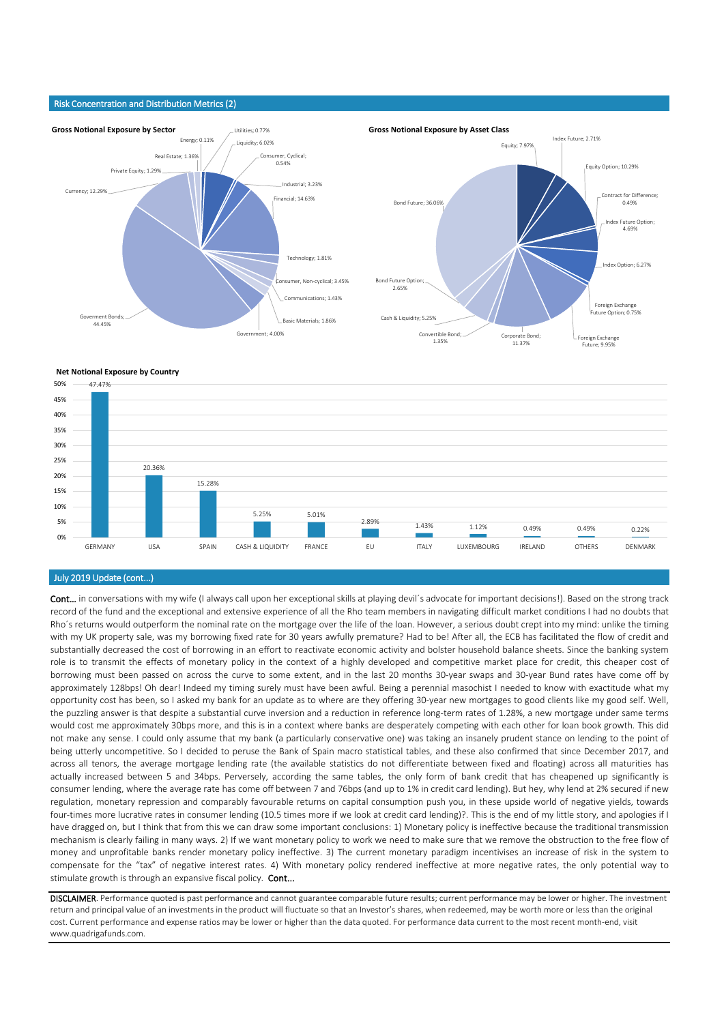#### Risk Concentration and Distribution Metrics (2)



**Net Notional Exposure by Country**



## July 2019 Update (cont...)

Cont... in conversations with my wife (I always call upon her exceptional skills at playing devil's advocate for important decisions!). Based on the strong track record of the fund and the exceptional and extensive experience of all the Rho team members in navigating difficult market conditions I had no doubts that Rho´s returns would outperform the nominal rate on the mortgage over the life of the loan. However, a serious doubt crept into my mind: unlike the timing with my UK property sale, was my borrowing fixed rate for 30 years awfully premature? Had to be! After all, the ECB has facilitated the flow of credit and substantially decreased the cost of borrowing in an effort to reactivate economic activity and bolster household balance sheets. Since the banking system role is to transmit the effects of monetary policy in the context of a highly developed and competitive market place for credit, this cheaper cost of borrowing must been passed on across the curve to some extent, and in the last 20 months 30-year swaps and 30-year Bund rates have come off by approximately 128bps! Oh dear! Indeed my timing surely must have been awful. Being a perennial masochist I needed to know with exactitude what my opportunity cost has been, so I asked my bank for an update as to where are they offering 30-year new mortgages to good clients like my good self. Well, the puzzling answer is that despite a substantial curve inversion and a reduction in reference long-term rates of 1.28%, a new mortgage under same terms would cost me approximately 30bps more, and this is in a context where banks are desperately competing with each other for loan book growth. This did not make any sense. I could only assume that my bank (a particularly conservative one) was taking an insanely prudent stance on lending to the point of being utterly uncompetitive. So I decided to peruse the Bank of Spain macro statistical tables, and these also confirmed that since December 2017, and across all tenors, the average mortgage lending rate (the available statistics do not differentiate between fixed and floating) across all maturities has actually increased between 5 and 34bps. Perversely, according the same tables, the only form of bank credit that has cheapened up significantly is consumer lending, where the average rate has come off between 7 and 76bps (and up to 1% in credit card lending). But hey, why lend at 2% secured if new regulation, monetary repression and comparably favourable returns on capital consumption push you, in these upside world of negative yields, towards four-times more lucrative rates in consumer lending (10.5 times more if we look at credit card lending)?. This is the end of my little story, and apologies if I have dragged on, but I think that from this we can draw some important conclusions: 1) Monetary policy is ineffective because the traditional transmission mechanism is clearly failing in many ways. 2) If we want monetary policy to work we need to make sure that we remove the obstruction to the free flow of money and unprofitable banks render monetary policy ineffective. 3) The current monetary paradigm incentivises an increase of risk in the system to compensate for the "tax" of negative interest rates. 4) With monetary policy rendered ineffective at more negative rates, the only potential way to stimulate growth is through an expansive fiscal policy. Cont...

DISCLAIMER. Performance quoted is past performance and cannot guarantee comparable future results; current performance may be lower or higher. The investment return and principal value of an investments in the product will fluctuate so that an Investor's shares, when redeemed, may be worth more or less than the original cost. Current performance and expense ratios may be lower or higher than the data quoted. For performance data current to the most recent month-end, visit www.quadrigafunds.com.